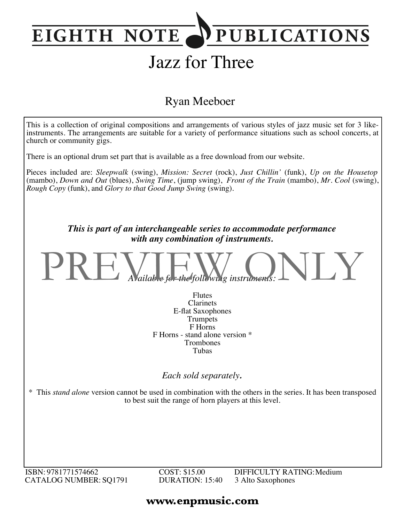### **PUBLICATIONS EIGHTH NOTE**

# Jazz for Three

### Ryan Meeboer



ISBN: 9781771574662 CATALOG NUMBER: SQ1791 COST: \$15.00 DURATION: 15:40 DIFFICULTY RATING:Medium 3 Alto Saxophones

### **www.enpmusic.com**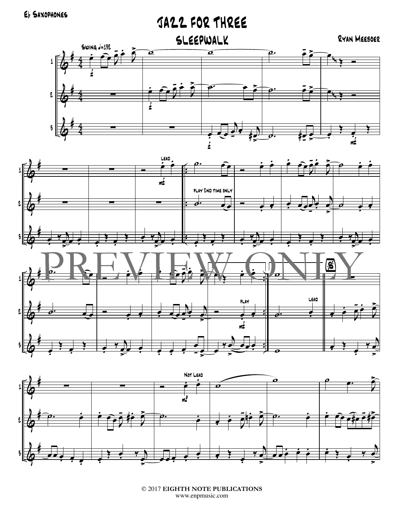## JAZZ FOR THREE





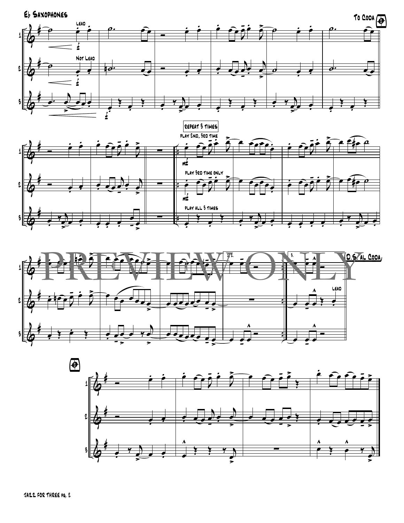





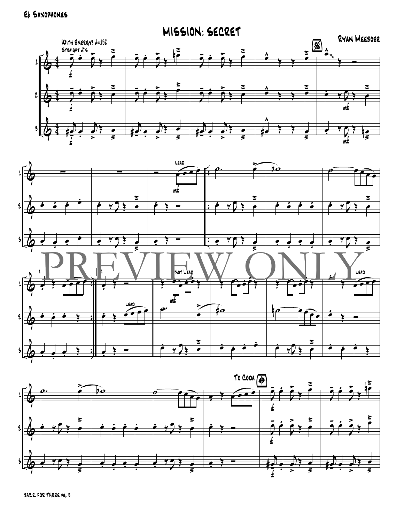



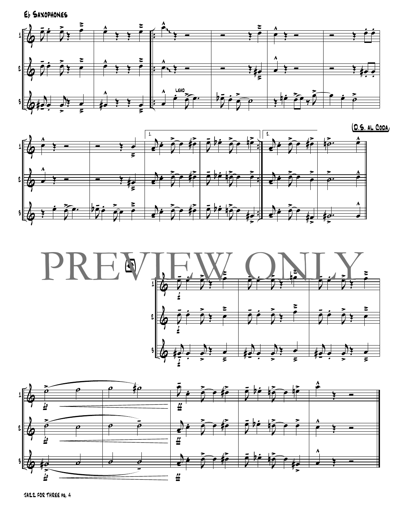





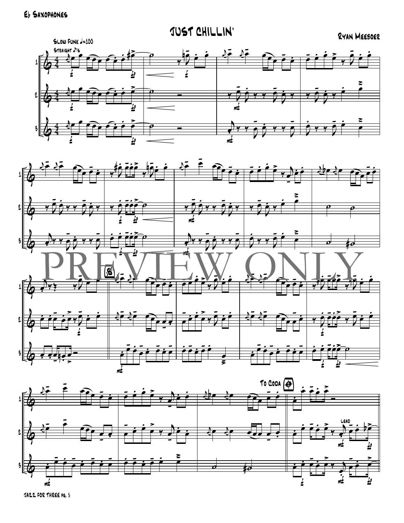



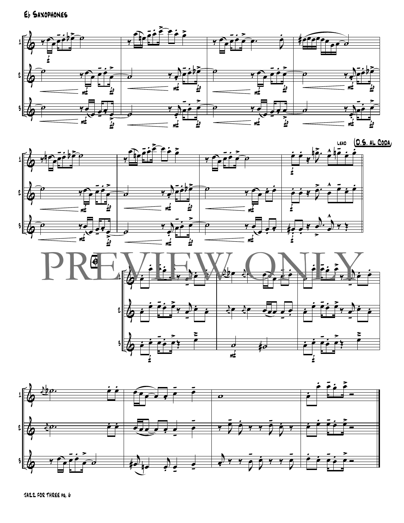![](_page_6_Figure_1.jpeg)

![](_page_6_Figure_2.jpeg)

![](_page_6_Figure_3.jpeg)

![](_page_6_Figure_4.jpeg)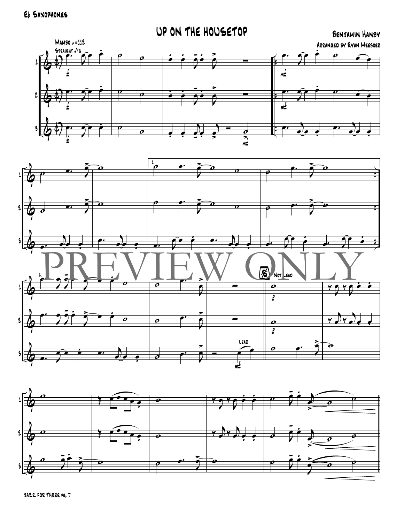#### UP ON THE HOUSETOP **BENJAMIN HANBY**  $MAMBO = 112$ ARRANGED BY RYAN MEEBOER STRAIGHT J'S 1  $\overline{\mathbf{m}^{\mathbf{L}}}$ l  $\mathcal{G}$ m± 3  $\overline{\bullet}$  .  $\overline{\boldsymbol{\theta}}$  $\frac{1}{\sqrt{2}}$

![](_page_7_Figure_2.jpeg)

![](_page_7_Figure_3.jpeg)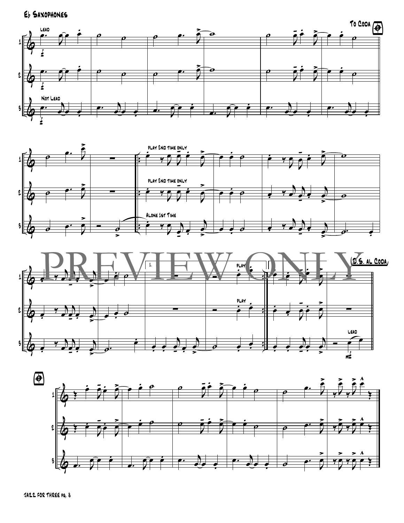![](_page_8_Figure_1.jpeg)

![](_page_8_Figure_2.jpeg)

![](_page_8_Figure_3.jpeg)

![](_page_8_Figure_4.jpeg)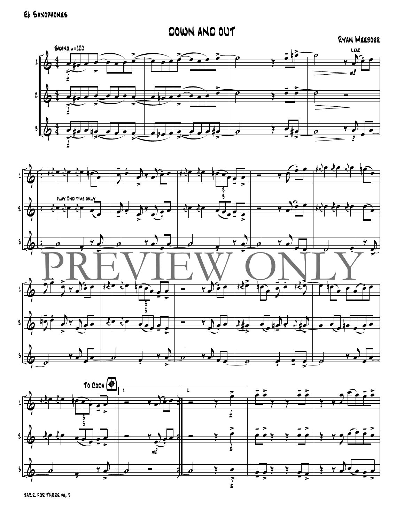DOWN AND OUT

![](_page_9_Figure_2.jpeg)

![](_page_9_Figure_3.jpeg)

![](_page_9_Figure_4.jpeg)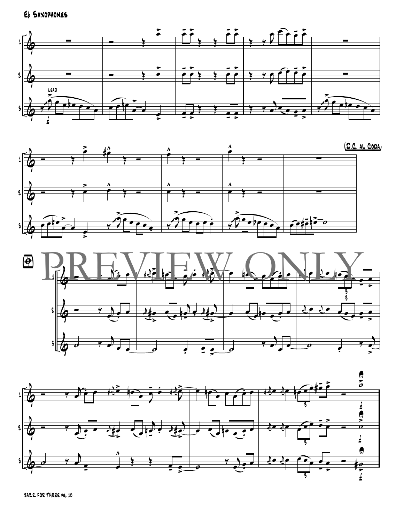![](_page_10_Figure_1.jpeg)

![](_page_10_Figure_2.jpeg)

![](_page_10_Figure_3.jpeg)

![](_page_10_Figure_4.jpeg)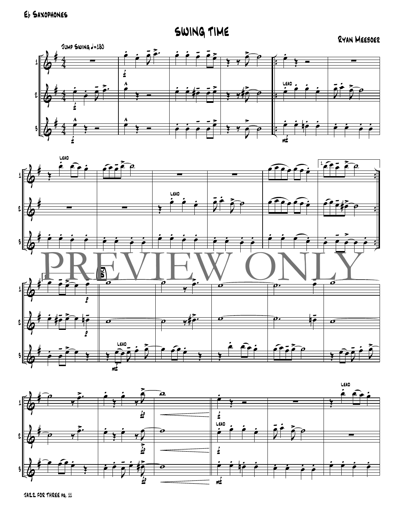SWING TIME

RYAN MEEBOER

![](_page_11_Figure_3.jpeg)

![](_page_11_Figure_4.jpeg)

![](_page_11_Figure_5.jpeg)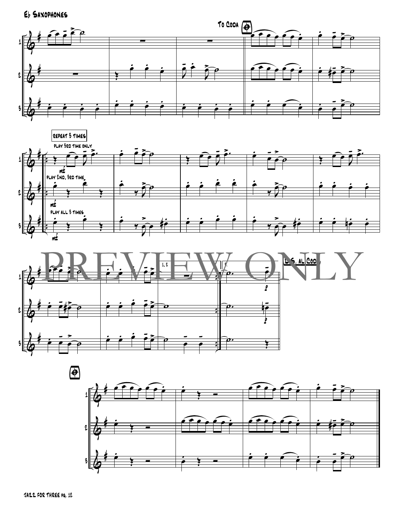![](_page_12_Figure_1.jpeg)

![](_page_12_Figure_2.jpeg)

![](_page_12_Figure_3.jpeg)

![](_page_12_Figure_4.jpeg)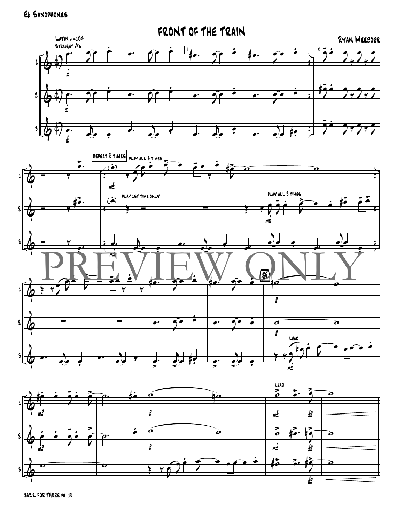![](_page_13_Figure_1.jpeg)

![](_page_13_Figure_2.jpeg)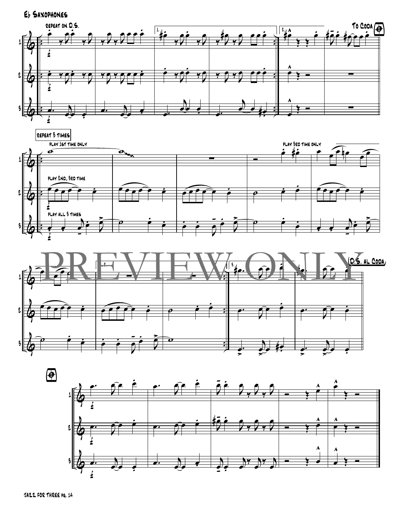![](_page_14_Figure_0.jpeg)

![](_page_14_Figure_1.jpeg)

![](_page_14_Figure_2.jpeg)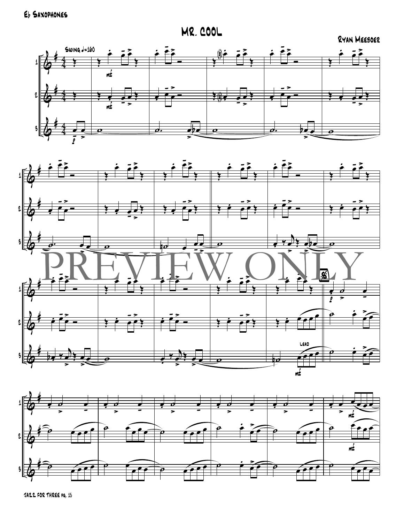**MR. COOL** 

RYAN MEEBOER

![](_page_15_Figure_3.jpeg)

![](_page_15_Figure_4.jpeg)

![](_page_15_Figure_5.jpeg)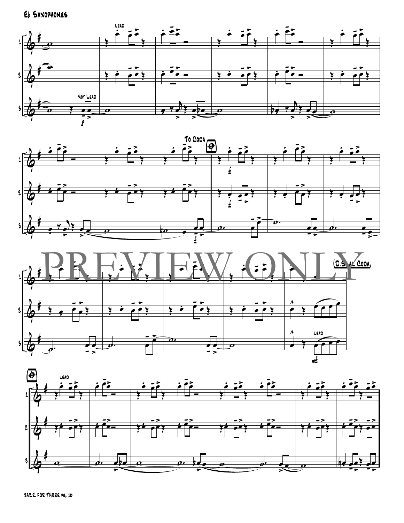![](_page_16_Figure_1.jpeg)

![](_page_16_Figure_2.jpeg)

![](_page_16_Figure_3.jpeg)

![](_page_16_Figure_4.jpeg)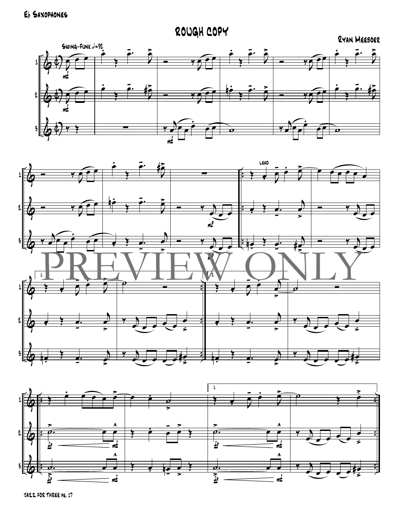Eb SAXOPHONES

## ROUGH COPY

#### RYAN MEEBOER

![](_page_17_Figure_3.jpeg)

![](_page_17_Figure_4.jpeg)

![](_page_17_Figure_5.jpeg)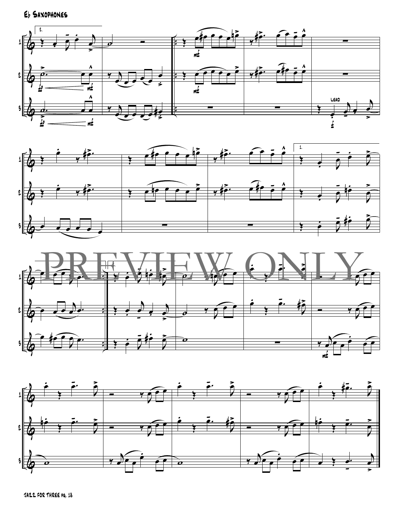![](_page_18_Figure_1.jpeg)

![](_page_18_Figure_2.jpeg)

![](_page_18_Figure_3.jpeg)

![](_page_18_Figure_4.jpeg)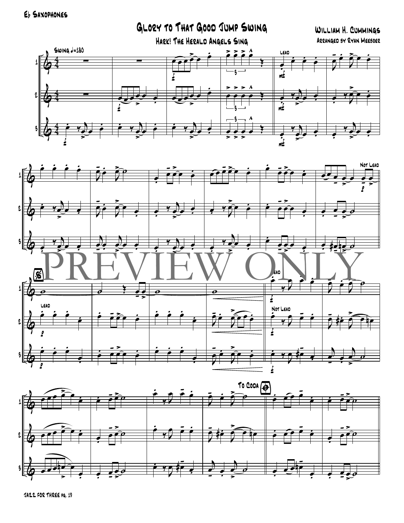Eb SAXOPHONES

GLORY TO THAT GOOD JUMP SWING WILLIAM H. CUMMINGS HARK! THE HERALD ANGELS SING ARRANGED BY RYAN MEEBOER  $Swing = 180$  $\ddot{\bullet}$ LEAD 1  $\frac{1}{2}$ l 3  $\frac{1}{m^2}$ 

![](_page_19_Figure_2.jpeg)

![](_page_19_Figure_3.jpeg)